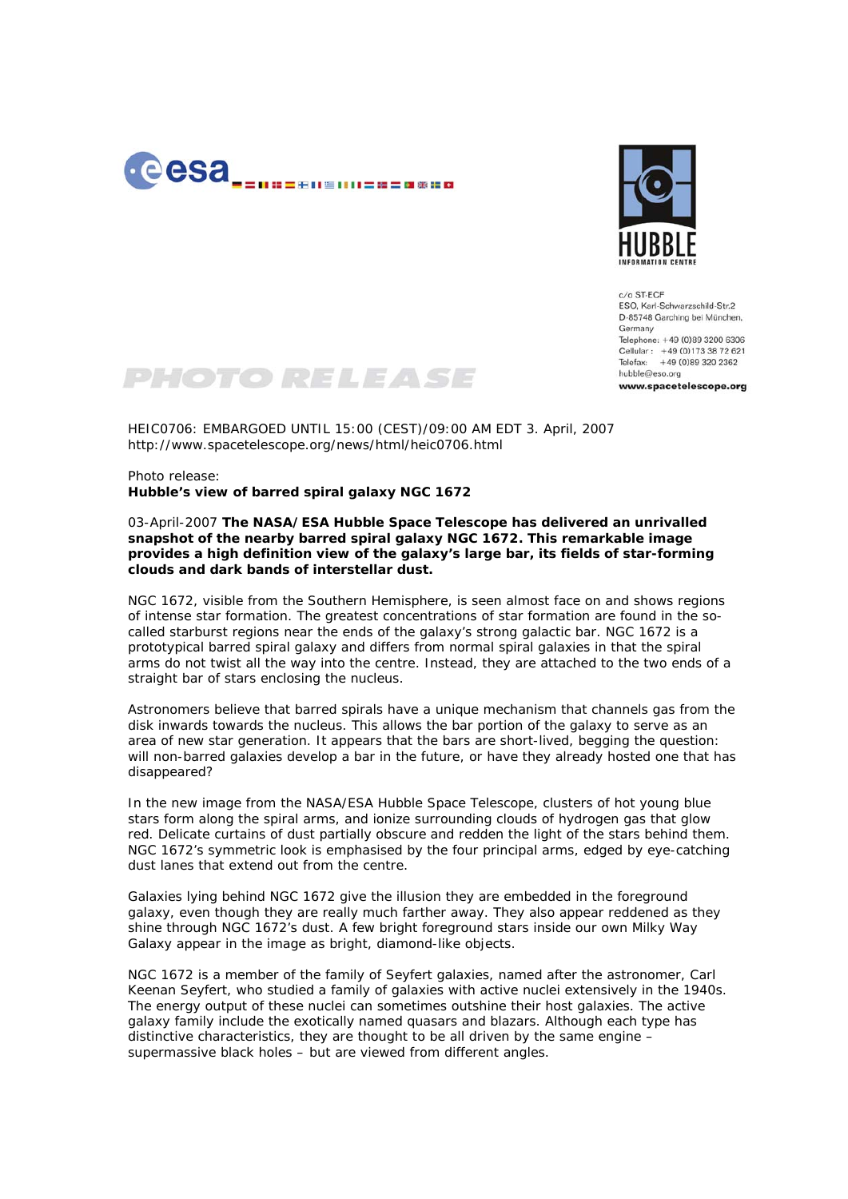



 $c/a$  ST.FCF ESO, Karl-Schwarzschild-Str.2 D-85748 Garching bei München, Germany Telephone: +49 (0)89 3200 6306 Cellular: +49 (0)173 38 72 621 Telefax: +49 (0)89 320 2362 hubble@eso.org www.spacetelescope.org



HEIC0706: EMBARGOED UNTIL 15:00 (CEST)/09:00 AM EDT 3. April, 2007 http://www.spacetelescope.org/news/html/heic0706.html

Photo release: **Hubble's view of barred spiral galaxy NGC 1672** 

## 03-April-2007 **The NASA/ESA Hubble Space Telescope has delivered an unrivalled snapshot of the nearby barred spiral galaxy NGC 1672. This remarkable image provides a high definition view of the galaxy's large bar, its fields of star-forming clouds and dark bands of interstellar dust.**

NGC 1672, visible from the Southern Hemisphere, is seen almost face on and shows regions of intense star formation. The greatest concentrations of star formation are found in the socalled starburst regions near the ends of the galaxy's strong galactic bar. NGC 1672 is a prototypical barred spiral galaxy and differs from normal spiral galaxies in that the spiral arms do not twist all the way into the centre. Instead, they are attached to the two ends of a straight bar of stars enclosing the nucleus.

Astronomers believe that barred spirals have a unique mechanism that channels gas from the disk inwards towards the nucleus. This allows the bar portion of the galaxy to serve as an area of new star generation. It appears that the bars are short-lived, begging the question: will non-barred galaxies develop a bar in the future, or have they already hosted one that has disappeared?

In the new image from the NASA/ESA Hubble Space Telescope, clusters of hot young blue stars form along the spiral arms, and ionize surrounding clouds of hydrogen gas that glow red. Delicate curtains of dust partially obscure and redden the light of the stars behind them. NGC 1672's symmetric look is emphasised by the four principal arms, edged by eye-catching dust lanes that extend out from the centre.

Galaxies lying behind NGC 1672 give the illusion they are embedded in the foreground galaxy, even though they are really much farther away. They also appear reddened as they shine through NGC 1672's dust. A few bright foreground stars inside our own Milky Way Galaxy appear in the image as bright, diamond-like objects.

NGC 1672 is a member of the family of Seyfert galaxies, named after the astronomer, Carl Keenan Seyfert, who studied a family of galaxies with active nuclei extensively in the 1940s. The energy output of these nuclei can sometimes outshine their host galaxies. The active galaxy family include the exotically named quasars and blazars. Although each type has distinctive characteristics, they are thought to be all driven by the same engine – supermassive black holes – but are viewed from different angles.